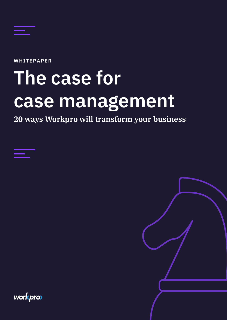

WHITEPAPER

# The case for case management

20 ways Workpro will transform your business

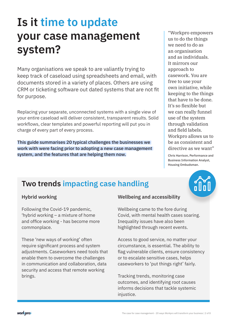### Is it time to update your case management system?

Many organisations we speak to are valiantly trying to keep track of caseload using spreadsheets and email, with documents stored in a variety of places. Others are using CRM or ticketing software out dated systems that are not fit for purpose.

Replacing your separate, unconnected systems with a single view of your entire caseload will deliver consistent, transparent results. Solid workflows, clear templates and powerful reporting will put you in charge of every part of every process.

This guide summarises 20 typical challenges the businesses we work with were facing prior to adopting a new case management system, and the features that are helping them now.

"Workpro empowers us to do the things we need to do as an organisation and as individuals. It mirrors our approach to casework. You are free to use your own initiative, while keeping to the things that have to be done. It's so flexible but we can really funnel use of the system through validation and field labels. Workpro allows us to be as consistent and directive as we want"

Chris Harrison, Performance and Business Information Analyst, Housing Ombudsman.

#### Two trends impacting case handling

#### Hybrid working

Following the Covid-19 pandemic, 'hybrid working – a mixture of home and office working - has become more commonplace.

These 'new ways of working' often require significant process and system adjustments. Caseworkers need tools that enable them to overcome the challenges in communication and collaboration, data security and access that remote working brings.

#### Wellbeing and accessibility

Wellbeing came to the fore during Covid, with mental health cases soaring. Inequality issues have also been highlighted through recent events.

Access to good service, no matter your circumstance, is essential. The ability to flag vulnerable clients, ensure consistency or to escalate sensitive cases, helps caseworkers to 'put things right' fairly.

Tracking trends, monitoring case outcomes, and identifying root causes informs decisions that tackle systemic injustice.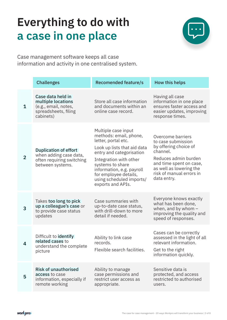# Everything to do with a case in one place



Case management software keeps all case information and activity in one centralised system.

|                | <b>Challenges</b>                                                                                       | <b>Recomended feature/s</b>                                                                                                                                                                                                                                                          | <b>How this helps</b>                                                                                                                                                                                 |
|----------------|---------------------------------------------------------------------------------------------------------|--------------------------------------------------------------------------------------------------------------------------------------------------------------------------------------------------------------------------------------------------------------------------------------|-------------------------------------------------------------------------------------------------------------------------------------------------------------------------------------------------------|
| $\mathbf 1$    | Case data held in<br>multiple locations<br>(e.g., email, notes,<br>spreadsheets, filing<br>cabinets)    | Store all case information<br>and documents within an<br>online case record.                                                                                                                                                                                                         | Having all case<br>information in one place<br>ensures faster access and<br>easier updates, improving<br>response times.                                                                              |
| $\overline{2}$ | <b>Duplication of effort</b><br>when adding case data,<br>often requiring switching<br>between systems. | Multiple case input<br>methods: email, phone,<br>letter, portal etc.<br>Look up lists that aid data<br>entry and categorisation<br>Integration with other<br>systems to share<br>information, e.g. payroll<br>for employee details,<br>using scheduled imports/<br>exports and APIs. | Overcome barriers<br>to case submission<br>by offering choice of<br>channel.<br>Reduces admin burden<br>and time spent on case,<br>as well as lowering the<br>risk of manual errors in<br>data entry. |
| 3              | Takes too long to pick<br>up a colleague's case or<br>to provide case status<br>updates                 | Case summaries with<br>up-to-date case status,<br>with drill-down to more<br>detail if needed.                                                                                                                                                                                       | Everyone knows exactly<br>what has been done,<br>when, and by whom $-$<br>improving the quality and<br>speed of responses.                                                                            |
| 4              | Difficult to <b>identify</b><br>related cases to<br>understand the complete<br>picture                  | Ability to link case<br>records.<br>Flexible search facilities.                                                                                                                                                                                                                      | Cases can be correctly<br>assessed in the light of all<br>relevant information.<br>Get to the right<br>information quickly.                                                                           |
| 5              | <b>Risk of unauthorised</b><br>access to case<br>information, especially if<br>remote working           | Ability to manage<br>case permissions and<br>restrict user access as<br>appropriate.                                                                                                                                                                                                 | Sensitive data is<br>protected, and access<br>restricted to authorised<br>users.                                                                                                                      |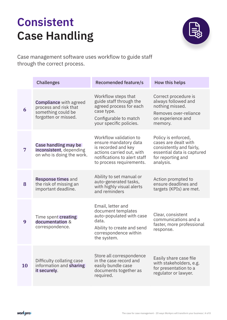# Consistent Case Handling



Case management software uses workflow to guide staff through the correct process.

|    | <b>Challenges</b>                                                                                    | <b>Recomended feature/s</b>                                                                                                                                     | How this helps                                                                                                                          |
|----|------------------------------------------------------------------------------------------------------|-----------------------------------------------------------------------------------------------------------------------------------------------------------------|-----------------------------------------------------------------------------------------------------------------------------------------|
| 6  | <b>Compliance</b> with agreed<br>process and risk that<br>something could be<br>forgotten or missed. | Workflow steps that<br>guide staff through the<br>agreed process for each<br>case type.<br>Configurable to match<br>your specific policies.                     | Correct procedure is<br>always followed and<br>nothing missed.<br>Removes over-reliance<br>on experience and<br>memory.                 |
| 7  | Case handling may be<br>inconsistent, depending<br>on who is doing the work.                         | Workflow validation to<br>ensure mandatory data<br>is recorded and key<br>actions carried out, with<br>notifications to alert staff<br>to process requirements. | Policy is enforced,<br>cases are dealt with<br>consistently and fairly,<br>essential data is captured<br>for reporting and<br>analysis. |
| 8  | Response times and<br>the risk of missing an<br>important deadline.                                  | Ability to set manual or<br>auto-generated tasks,<br>with highly visual alerts<br>and reminders                                                                 | Action prompted to<br>ensure deadlines and<br>targets (KPIs) are met.                                                                   |
| 9  | Time spent creating<br>documentation &<br>correspondence.                                            | Email, letter and<br>document templates<br>auto-populated with case<br>data.<br>Ability to create and send<br>correspondence within<br>the system.              | Clear, consistent<br>communications and a<br>faster, more professional<br>response.                                                     |
| 10 | Difficulty collating case<br>information and <b>sharing</b><br>it securely.                          | Store all correspondence<br>in the case record and<br>easily bundle case<br>documents together as<br>required.                                                  | Easily share case file<br>with stakeholders, e.g.<br>for presentation to a<br>regulator or lawyer.                                      |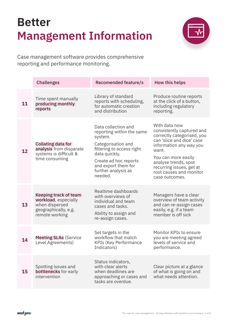# Better Management Information



Case management software provides comprehensive reporting and performance monitoring.

|    | <b>Challenges</b>                                                                                         | <b>Recomended feature/s</b>                                                                                                                                                                                       | How this helps                                                                                                                                                                                                                                                    |
|----|-----------------------------------------------------------------------------------------------------------|-------------------------------------------------------------------------------------------------------------------------------------------------------------------------------------------------------------------|-------------------------------------------------------------------------------------------------------------------------------------------------------------------------------------------------------------------------------------------------------------------|
| 11 | Time spent manually<br>producing monthly<br>reports                                                       | Library of standard<br>reports with scheduling,<br>for automatic creation<br>and distribution                                                                                                                     | Produce routine reports<br>at the click of a button,<br>including regulatory<br>reporting.                                                                                                                                                                        |
| 12 | <b>Collating data for</b><br>analysis from disparate<br>systems is difficult &<br>time consuming          | Data collection and<br>reporting within the same<br>system.<br>Categorisation and<br>filtering to access right<br>data quickly.<br>Create ad hoc reports<br>and export them for<br>further analysis as<br>needed. | With data now<br>consistently captured and<br>correctly categorised, you<br>can 'slice and dice' case<br>information any way you<br>want.<br>You can more easily<br>analyse trends, spot<br>recurring issues, get at<br>root causes and monitor<br>case outcomes. |
| 13 | Keeping track of team<br>workload, especially<br>when dispersed<br>geographically, e.g.<br>remote working | Realtime dashboards<br>with overviews of<br>individual and team<br>cases and tasks.<br>Ability to assign and<br>re-assign cases.                                                                                  | Managers have a clear<br>overview of team activity<br>and can re-assign cases<br>easily, e.g. if a team<br>member is off sick                                                                                                                                     |
| 14 | <b>Meeting SLAs (Service</b><br>Level Agreements)                                                         | Set targets in the<br>workflow that match<br><b>KPIs (Key Performance</b><br>Indicators)                                                                                                                          | Monitor KPIs to ensure<br>you are meeting agreed<br>levels of service and<br>performance.                                                                                                                                                                         |
| 15 | Spotting issues and<br>bottlenecks for early<br>intervention                                              | Status indicators,<br>with clear alerts<br>when deadlines are<br>approaching or cases and<br>tasks are overdue.                                                                                                   | Clear picture at a glance<br>of what is going on and<br>what needs attention.                                                                                                                                                                                     |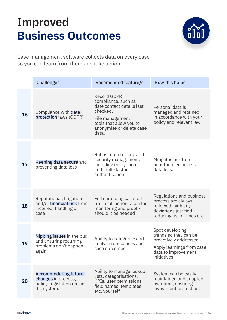## Improved Business Outcomes



Case management software collects data on every case so you can learn from them and take action.

|    | <b>Challenges</b>                                                                                | <b>Recomended feature/s</b>                                                                                                                                           | How this helps                                                                                                                         |
|----|--------------------------------------------------------------------------------------------------|-----------------------------------------------------------------------------------------------------------------------------------------------------------------------|----------------------------------------------------------------------------------------------------------------------------------------|
| 16 | Compliance with data<br>protection laws (GDPR)                                                   | <b>Record GDPR</b><br>compliance, such as<br>date contact details last<br>checked.<br>File management<br>tools that allow you to<br>anonymise or delete case<br>data. | Personal data is<br>managed and retained<br>in accordance with your<br>policy and relevant law.                                        |
| 17 | Keeping data secure and<br>preventing data loss                                                  | Robust data backup and<br>security management,<br>including encryption<br>and multi-factor<br>authentication.                                                         | Mitigates risk from<br>unauthorised access or<br>data loss.                                                                            |
| 18 | Reputational, litigation<br>and/or financial risk from<br>incorrect handling of<br>case          | Full chronological audit<br>trail of all action taken for<br>monitoring and proof -<br>should it be needed                                                            | Regulations and business<br>process are always<br>followed, with any<br>deviations justified -<br>reducing risk of fines etc.          |
| 19 | Nipping issues in the bud<br>and ensuring recurring<br>problems don't happen<br>again            | Ability to categorise and<br>analyse root causes and<br>case outcomes.                                                                                                | Spot developing<br>trends so they can be<br>proactively addressed.<br>Apply learnings from case<br>data to improvement<br>initiatives. |
| 20 | <b>Accommodating future</b><br>changes in process,<br>policy, legislation etc. in<br>the system. | Ability to manage lookup<br>lists, categorisations,<br>KPIs, user permissions,<br>field names, templates<br>etc. yourself                                             | System can be easily<br>maintained and adapted<br>over time, ensuring<br>investment protection.                                        |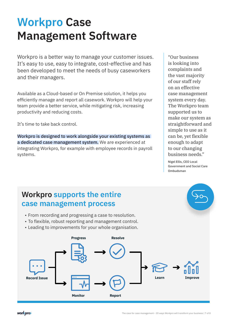### Workpro Case Management Software

Workpro is a better way to manage your customer issues. It's easy to use, easy to integrate, cost-effective and has been developed to meet the needs of busy caseworkers and their managers.

Available as a Cloud-based or On Premise solution, it helps you efficiently manage and report all casework. Workpro will help your team provide a better service, while mitigating risk, increasing productivity and reducing costs.

It's time to take back control.

Workpro is designed to work alongside your existing systems as a dedicated case management system. We are experienced at integrating Workpro, for example with employee records in payroll systems.

"Our business is looking into complaints and the vast majority of our staff rely on an effective case management system every day. The Workpro team supported us to make our system as straightforward and simple to use as it can be, yet flexible enough to adapt to our changing business needs."

Nigel Ellis, CEO Local Government and Social Care Ombudsman

#### Workpro supports the entire case management process

- From recording and progressing a case to resolution.
- To flexible, robust reporting and management control.
- Leading to improvements for your whole organisation.